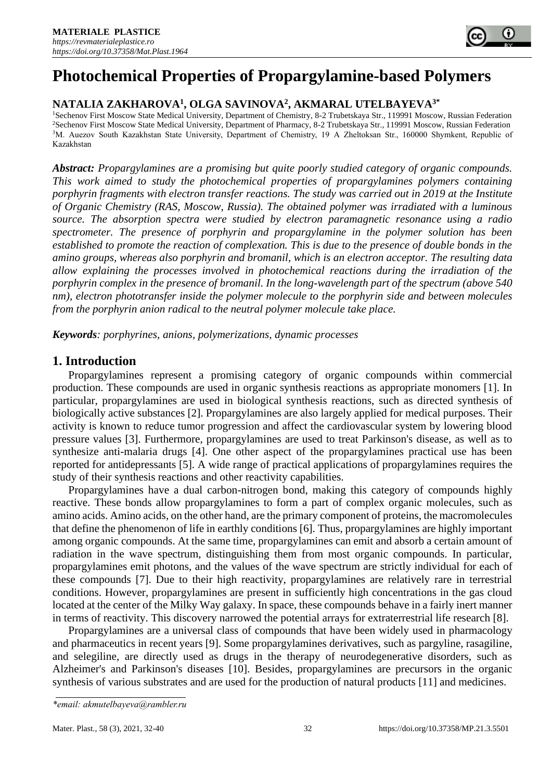# **Photochemical Properties of Propargylamine-based Polymers**

# **NATALIA ZAKHAROVA<sup>1</sup> , OLGA SAVINOVA<sup>2</sup> , AKMARAL UTELBAYEVA3\***

<sup>1</sup>Sechenov First Moscow State Medical University, Department of Chemistry, 8-2 Trubetskaya Str., 119991 Moscow, Russian Federation <sup>2</sup>Sechenov First Moscow State Medical University, Department of Pharmacy, 8-2 Trubetskaya Str., 119991 Moscow, Russian Federation <sup>3</sup>M. Auezov South Kazakhstan State University, Department of Chemistry, 19 A Zheltoksan Str., 160000 Shymkent, Republic of Kazakhstan

*Abstract: Propargylamines are a promising but quite poorly studied category of organic compounds. This work aimed to study the photochemical properties of propargylamines polymers containing porphyrin fragments with electron transfer reactions. The study was carried out in 2019 at the Institute of Organic Chemistry (RAS, Moscow, Russia). The obtained polymer was irradiated with a luminous source. The absorption spectra were studied by electron paramagnetic resonance using a radio spectrometer. The presence of porphyrin and propargylamine in the polymer solution has been established to promote the reaction of complexation. This is due to the presence of double bonds in the amino groups, whereas also porphyrin and bromanil, which is an electron acceptor. The resulting data allow explaining the processes involved in photochemical reactions during the irradiation of the porphyrin complex in the presence of bromanil. In the long-wavelength part of the spectrum (above 540 nm), electron phototransfer inside the polymer molecule to the porphyrin side and between molecules from the porphyrin anion radical to the neutral polymer molecule take place.*

*Keywords: porphyrines, anions, polymerizations, dynamic processes*

# **1. Introduction**

Propargylamines represent a promising category of organic compounds within commercial production. These compounds are used in organic synthesis reactions as appropriate monomers [1]. In particular, propargylamines are used in biological synthesis reactions, such as directed synthesis of biologically active substances [2]. Propargylamines are also largely applied for medical purposes. Their activity is known to reduce tumor progression and affect the cardiovascular system by lowering blood pressure values [3]. Furthermore, propargylamines are used to treat Parkinson's disease, as well as to synthesize anti-malaria drugs [4]. One other aspect of the propargylamines practical use has been reported for antidepressants [5]. A wide range of practical applications of propargylamines requires the study of their synthesis reactions and other reactivity capabilities.

Propargylamines have a dual carbon-nitrogen bond, making this category of compounds highly reactive. These bonds allow propargylamines to form a part of complex organic molecules, such as amino acids. Amino acids, on the other hand, are the primary component of proteins, the macromolecules that define the phenomenon of life in earthly conditions [6]. Thus, propargylamines are highly important among organic compounds. At the same time, propargylamines can emit and absorb a certain amount of radiation in the wave spectrum, distinguishing them from most organic compounds. In particular, propargylamines emit photons, and the values of the wave spectrum are strictly individual for each of these compounds [7]. Due to their high reactivity, propargylamines are relatively rare in terrestrial conditions. However, propargylamines are present in sufficiently high concentrations in the gas cloud located at the center of the Milky Way galaxy. In space, these compounds behave in a fairly inert manner in terms of reactivity. This discovery narrowed the potential arrays for extraterrestrial life research [8].

Propargylamines are a universal class of compounds that have been widely used in pharmacology and pharmaceutics in recent years [9]. Some propargylamines derivatives, such as pargyline, rasagiline, and selegiline, are directly used as drugs in the therapy of neurodegenerative disorders, such as Alzheimer's and Parkinson's diseases [10]. Besides, propargylamines are precursors in the organic synthesis of various substrates and are used for the production of natural products [11] and medicines.

*<sup>\*</sup>email[: akmutelbayeva@rambler.ru](mailto:akmutelbayeva@rambler.ru)*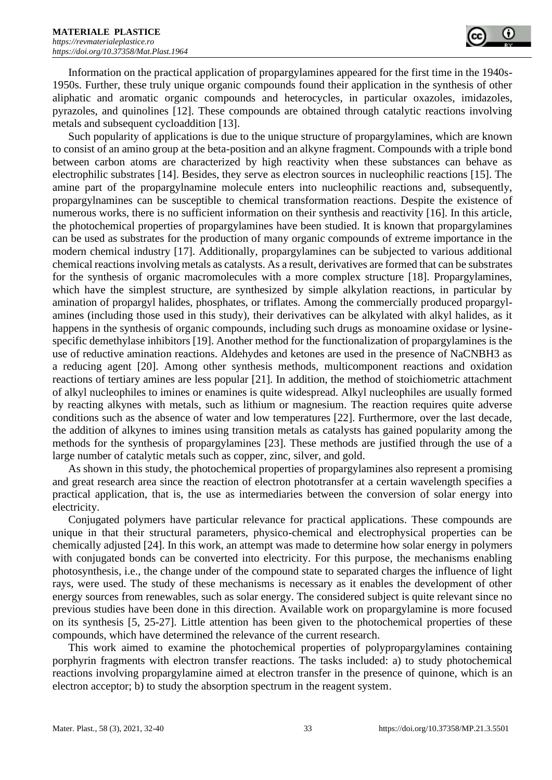

Information on the practical application of propargylamines appeared for the first time in the 1940s-1950s. Further, these truly unique organic compounds found their application in the synthesis of other aliphatic and aromatic organic compounds and heterocycles, in particular oxazoles, imidazoles, pyrazoles, and quinolines [12]. These compounds are obtained through catalytic reactions involving metals and subsequent cycloaddition [13].

Such popularity of applications is due to the unique structure of propargylamines, which are known to consist of an amino group at the beta-position and an alkyne fragment. Compounds with a triple bond between carbon atoms are characterized by high reactivity when these substances can behave as electrophilic substrates [14]. Besides, they serve as electron sources in nucleophilic reactions [15]. The amine part of the propargylnamine molecule enters into nucleophilic reactions and, subsequently, propargylnamines can be susceptible to chemical transformation reactions. Despite the existence of numerous works, there is no sufficient information on their synthesis and reactivity [16]. In this article, the photochemical properties of propargylamines have been studied. It is known that propargylamines can be used as substrates for the production of many organic compounds of extreme importance in the modern chemical industry [17]. Additionally, propargylamines can be subjected to various additional chemical reactions involving metals as catalysts. As a result, derivatives are formed that can be substrates for the synthesis of organic macromolecules with a more complex structure [18]. Propargylamines, which have the simplest structure, are synthesized by simple alkylation reactions, in particular by amination of propargyl halides, phosphates, or triflates. Among the commercially produced propargylamines (including those used in this study), their derivatives can be alkylated with alkyl halides, as it happens in the synthesis of organic compounds, including such drugs as monoamine oxidase or lysinespecific demethylase inhibitors [19]. Another method for the functionalization of propargylamines is the use of reductive amination reactions. Aldehydes and ketones are used in the presence of NaCNBH3 as a reducing agent [20]. Among other synthesis methods, multicomponent reactions and oxidation reactions of tertiary amines are less popular [21]. In addition, the method of stoichiometric attachment of alkyl nucleophiles to imines or enamines is quite widespread. Alkyl nucleophiles are usually formed by reacting alkynes with metals, such as lithium or magnesium. The reaction requires quite adverse conditions such as the absence of water and low temperatures [22]. Furthermore, over the last decade, the addition of alkynes to imines using transition metals as catalysts has gained popularity among the methods for the synthesis of propargylamines [23]. These methods are justified through the use of a large number of catalytic metals such as copper, zinc, silver, and gold.

As shown in this study, the photochemical properties of propargylamines also represent a promising and great research area since the reaction of electron phototransfer at a certain wavelength specifies a practical application, that is, the use as intermediaries between the conversion of solar energy into electricity.

Conjugated polymers have particular relevance for practical applications. These compounds are unique in that their structural parameters, physico-chemical and electrophysical properties can be chemically adjusted [24]. In this work, an attempt was made to determine how solar energy in polymers with conjugated bonds can be converted into electricity. For this purpose, the mechanisms enabling photosynthesis, i.e., the change under of the compound state to separated charges the influence of light rays, were used. The study of these mechanisms is necessary as it enables the development of other energy sources from renewables, such as solar energy. The considered subject is quite relevant since no previous studies have been done in this direction. Available work on propargylamine is more focused on its synthesis [5, 25-27]. Little attention has been given to the photochemical properties of these compounds, which have determined the relevance of the current research.

This work aimed to examine the photochemical properties of polypropargylamines containing porphyrin fragments with electron transfer reactions. The tasks included: a) to study photochemical reactions involving propargylamine aimed at electron transfer in the presence of quinone, which is an electron acceptor; b) to study the absorption spectrum in the reagent system.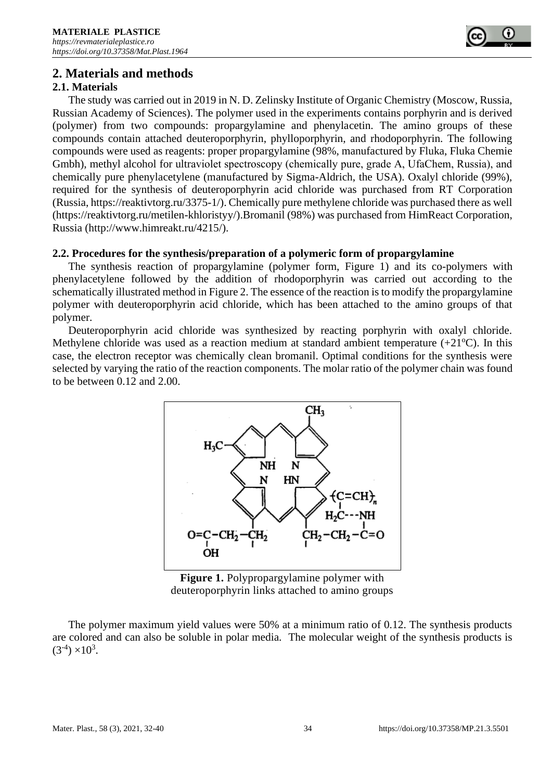

# **2. Materials and methods**

# **2.1. Materials**

The study was carried out in 2019 in N. D. Zelinsky Institute of Organic Chemistry (Moscow, Russia, Russian Academy of Sciences). The polymer used in the experiments contains porphyrin and is derived (polymer) from two compounds: propargylamine and phenylacetin. The amino groups of these compounds contain attached deuteroporphyrin, phylloporphyrin, and rhodoporphyrin. The following compounds were used as reagents: proper propargylamine (98%, manufactured by Fluka, Fluka Chemie Gmbh), methyl alcohol for ultraviolet spectroscopy (chemically pure, grade А, UfaChem, Russia), and chemically pure phenylacetylene (manufactured by Sigma-Aldrich, the USA). Oxalyl chloride (99%), required for the synthesis of deuteroporphyrin acid chloride was purchased from RT Corporation (Russia, [https://reaktivtorg.ru/3375-1/\)](https://reaktivtorg.ru/3375-1/). Chemically pure methylene chloride was purchased there as well [\(https://reaktivtorg.ru/metilen-khloristyy/\)](https://reaktivtorg.ru/metilen-khloristyy/).Bromanil (98%) was purchased from HimReact Corporation, Russia [\(http://www.himreakt.ru/4215/\)](http://www.himreakt.ru/4215/).

### **2.2. Procedures for the synthesis/preparation of a polymeric form of propargylamine**

The synthesis reaction of propargylamine (polymer form, Figure 1) and its co-polymers with phenylacetylene followed by the addition of rhodoporphyrin was carried out according to the schematically illustrated method in Figure 2. The essence of the reaction is to modify the propargylamine polymer with deuteroporphyrin acid chloride, which has been attached to the amino groups of that polymer.

Deuteroporphyrin acid chloride was synthesized by reacting porphyrin with oxalyl chloride. Methylene chloride was used as a reaction medium at standard ambient temperature  $(+21^{\circ}C)$ . In this case, the electron receptor was chemically clean bromanil. Optimal conditions for the synthesis were selected by varying the ratio of the reaction components. The molar ratio of the polymer chain was found to be between 0.12 and 2.00.



**Figure 1.** Polypropargylamine polymer with deuteroporphyrin links attached to amino groups

The polymer maximum yield values were 50% at a minimum ratio of 0.12. The synthesis products are colored and can also be soluble in polar media. The molecular weight of the synthesis products is  $(3^{-4}) \times 10^{3}$ .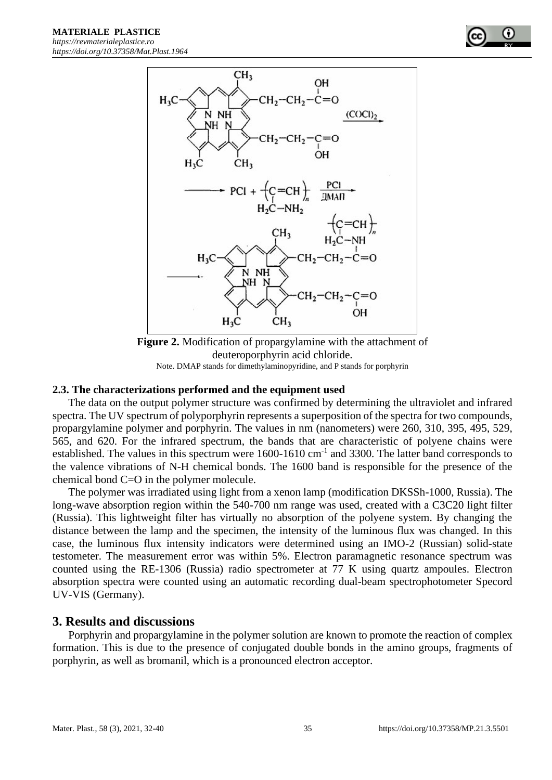

**Figure 2.** Modification of propargylamine with the attachment of deuteroporphyrin acid chloride. Note. DMAP stands for dimethylaminopyridine, and P stands for porphyrin

#### **2.3. The characterizations performed and the equipment used**

The data on the output polymer structure was confirmed by determining the ultraviolet and infrared spectra. The UV spectrum of polyporphyrin represents a superposition of the spectra for two compounds, propargylamine polymer and porphyrin. The values in nm (nanometers) were 260, 310, 395, 495, 529, 565, and 620. For the infrared spectrum, the bands that are characteristic of polyene chains were established. The values in this spectrum were  $1600-1610$  cm<sup>-1</sup> and 3300. The latter band corresponds to the valence vibrations of N-H chemical bonds. The 1600 band is responsible for the presence of the chemical bond C=O in the polymer molecule.

The polymer was irradiated using light from a xenon lamp (modification DKSSh-1000, Russia). The long-wave absorption region within the 540-700 nm range was used, created with a C3C20 light filter (Russia). This lightweight filter has virtually no absorption of the polyene system. By changing the distance between the lamp and the specimen, the intensity of the luminous flux was changed. In this case, the luminous flux intensity indicators were determined using an IMO-2 (Russian) solid-state testometer. The measurement error was within 5%. Electron paramagnetic resonance spectrum was counted using the RE-1306 (Russia) radio spectrometer at 77 K using quartz ampoules. Electron absorption spectra were counted using an automatic recording dual-beam spectrophotometer Specord UV-VIS (Germany).

#### **3. Results and discussions**

Porphyrin and propargylamine in the polymer solution are known to promote the reaction of complex formation. This is due to the presence of conjugated double bonds in the amino groups, fragments of porphyrin, as well as bromanil, which is a pronounced electron acceptor.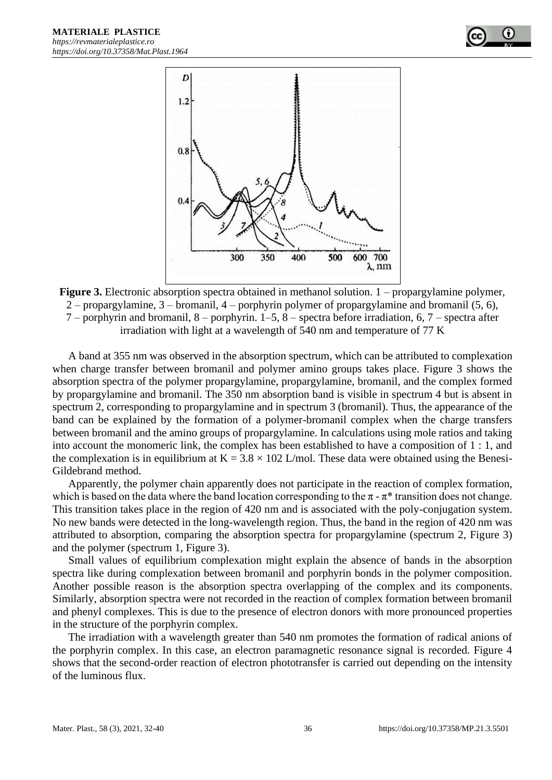

Figure 3. Electronic absorption spectra obtained in methanol solution. 1 – propargylamine polymer, 2 – propargylamine,  $3$  – bromanil,  $4$  – porphyrin polymer of propargylamine and bromanil  $(5, 6)$ , 7 – porphyrin and bromanil, 8 – porphyrin. 1–5, 8 – spectra before irradiation, 6, 7 – spectra after irradiation with light at a wavelength of 540 nm and temperature of 77 K

A band at 355 nm was observed in the absorption spectrum, which can be attributed to complexation when charge transfer between bromanil and polymer amino groups takes place. Figure 3 shows the absorption spectra of the polymer propargylamine, propargylamine, bromanil, and the complex formed by propargylamine and bromanil. The 350 nm absorption band is visible in spectrum 4 but is absent in spectrum 2, corresponding to propargylamine and in spectrum 3 (bromanil). Thus, the appearance of the band can be explained by the formation of a polymer-bromanil complex when the charge transfers between bromanil and the amino groups of propargylamine. In calculations using mole ratios and taking into account the monomeric link, the complex has been established to have a composition of 1 : 1, and the complexation is in equilibrium at  $K = 3.8 \times 102$  L/mol. These data were obtained using the Benesi-Gildebrand method.

Apparently, the polymer chain apparently does not participate in the reaction of complex formation, which is based on the data where the band location corresponding to the  $\pi$  -  $\pi^*$  transition does not change. This transition takes place in the region of 420 nm and is associated with the poly-conjugation system. No new bands were detected in the long-wavelength region. Thus, the band in the region of 420 nm was attributed to absorption, comparing the absorption spectra for propargylamine (spectrum 2, Figure 3) and the polymer (spectrum 1, Figure 3).

Small values of equilibrium complexation might explain the absence of bands in the absorption spectra like during complexation between bromanil and porphyrin bonds in the polymer composition. Another possible reason is the absorption spectra overlapping of the complex and its components. Similarly, absorption spectra were not recorded in the reaction of complex formation between bromanil and phenyl complexes. This is due to the presence of electron donors with more pronounced properties in the structure of the porphyrin complex.

The irradiation with a wavelength greater than 540 nm promotes the formation of radical anions of the porphyrin complex. In this case, an electron paramagnetic resonance signal is recorded. Figure 4 shows that the second-order reaction of electron phototransfer is carried out depending on the intensity of the luminous flux.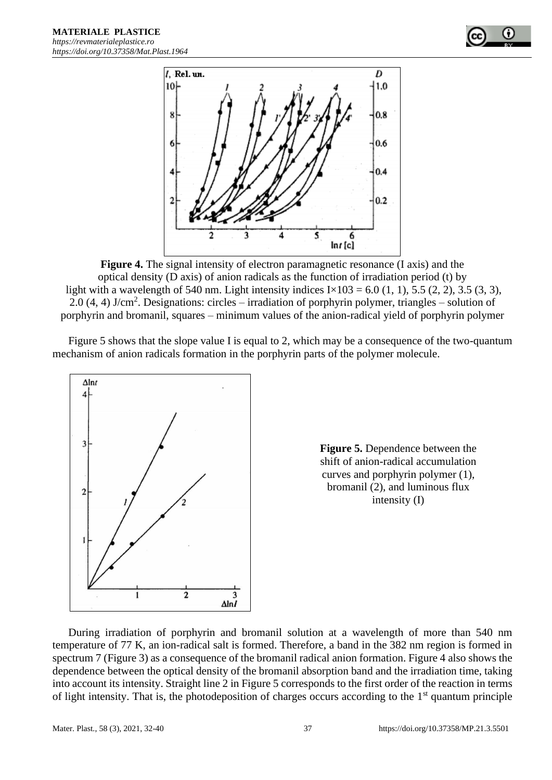



**Figure 4.** The signal intensity of electron paramagnetic resonance (I axis) and the optical density (D axis) of anion radicals as the function of irradiation period (t) by light with a wavelength of 540 nm. Light intensity indices  $I \times 103 = 6.0$  (1, 1), 5.5 (2, 2), 3.5 (3, 3), 2.0  $(4, 4)$  J/cm<sup>2</sup>. Designations: circles – irradiation of porphyrin polymer, triangles – solution of porphyrin and bromanil, squares – minimum values of the anion-radical yield of porphyrin polymer

Figure 5 shows that the slope value I is equal to 2, which may be a consequence of the two-quantum mechanism of anion radicals formation in the porphyrin parts of the polymer molecule.





During irradiation of porphyrin and bromanil solution at a wavelength of more than 540 nm temperature of 77 K, an ion-radical salt is formed. Therefore, a band in the 382 nm region is formed in spectrum 7 (Figure 3) as a consequence of the bromanil radical anion formation. Figure 4 also shows the dependence between the optical density of the bromanil absorption band and the irradiation time, taking into account its intensity. Straight line 2 in Figure 5 corresponds to the first order of the reaction in terms of light intensity. That is, the photodeposition of charges occurs according to the  $1<sup>st</sup>$  quantum principle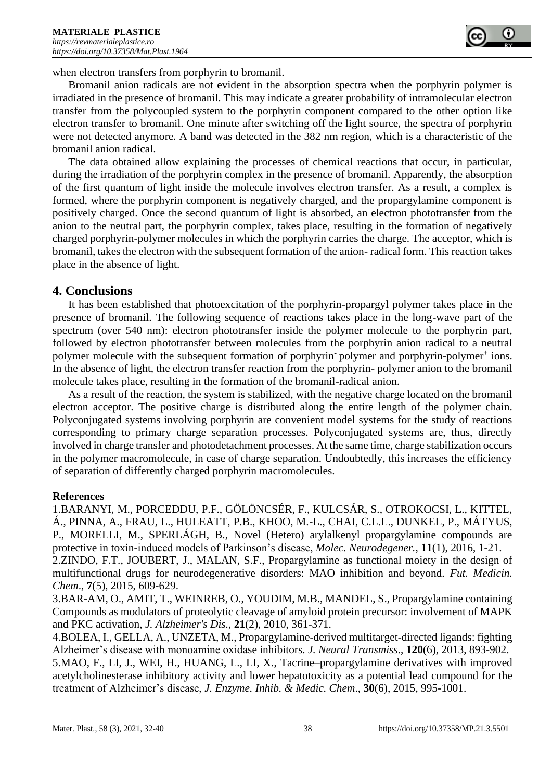

when electron transfers from porphyrin to bromanil.

Bromanil anion radicals are not evident in the absorption spectra when the porphyrin polymer is irradiated in the presence of bromanil. This may indicate a greater probability of intramolecular electron transfer from the polycoupled system to the porphyrin component compared to the other option like electron transfer to bromanil. One minute after switching off the light source, the spectra of porphyrin were not detected anymore. A band was detected in the 382 nm region, which is a characteristic of the bromanil anion radical.

The data obtained allow explaining the processes of chemical reactions that occur, in particular, during the irradiation of the porphyrin complex in the presence of bromanil. Apparently, the absorption of the first quantum of light inside the molecule involves electron transfer. As a result, a complex is formed, where the porphyrin component is negatively charged, and the propargylamine component is positively charged. Once the second quantum of light is absorbed, an electron phototransfer from the anion to the neutral part, the porphyrin complex, takes place, resulting in the formation of negatively charged porphyrin-polymer molecules in which the porphyrin carries the charge. The acceptor, which is bromanil, takes the electron with the subsequent formation of the anion- radical form. This reaction takes place in the absence of light.

#### **4. Conclusions**

It has been established that photoexcitation of the porphyrin-propargyl polymer takes place in the presence of bromanil. The following sequence of reactions takes place in the long-wave part of the spectrum (over 540 nm): electron phototransfer inside the polymer molecule to the porphyrin part, followed by electron phototransfer between molecules from the porphyrin anion radical to a neutral polymer molecule with the subsequent formation of porphyrin polymer and porphyrin-polymer<sup>+</sup> ions. In the absence of light, the electron transfer reaction from the porphyrin- polymer anion to the bromanil molecule takes place, resulting in the formation of the bromanil-radical anion.

As a result of the reaction, the system is stabilized, with the negative charge located on the bromanil electron acceptor. The positive charge is distributed along the entire length of the polymer chain. Polyconjugated systems involving porphyrin are convenient model systems for the study of reactions corresponding to primary charge separation processes. Polyconjugated systems are, thus, directly involved in charge transfer and photodetachment processes. At the same time, charge stabilization occurs in the polymer macromolecule, in case of charge separation. Undoubtedly, this increases the efficiency of separation of differently charged porphyrin macromolecules.

#### **References**

1.BARANYI, M., PORCEDDU, P.F., GÖLÖNCSÉR, F., KULCSÁR, S., OTROKOCSI, L., KITTEL, Á., PINNA, A., FRAU, L., HULEATT, P.B., KHOO, M.-L., CHAI, C.L.L., DUNKEL, P., MÁTYUS, P., MORELLI, M., SPERLÁGH, B., Novel (Hetero) arylalkenyl propargylamine compounds are protective in toxin-induced models of Parkinson's disease, *Molec. Neurodegener.*, **11**(1), 2016, 1-21.

2.ZINDO, F.T., JOUBERT, J., MALAN, S.F., Propargylamine as functional moiety in the design of multifunctional drugs for neurodegenerative disorders: MAO inhibition and beyond. *Fut. Medicin. Chem*., **7**(5), 2015, 609-629.

3.BAR-AM, O., AMIT, T., WEINREB, O., YOUDIM, M.B., MANDEL, S., Propargylamine containing Compounds as modulators of proteolytic cleavage of amyloid protein precursor: involvement of MAPK and PKC activation, *J. Alzheimer's Dis.*, **21**(2), 2010, 361-371.

4.BOLEA, I., GELLA, A., UNZETA, M., Propargylamine-derived multitarget-directed ligands: fighting Alzheimer's disease with monoamine oxidase inhibitors. *J. Neural Transmiss*., **120**(6), 2013, 893-902.

5.MAO, F., LI, J., WEI, H., HUANG, L., LI, X., Tacrine–propargylamine derivatives with improved acetylcholinesterase inhibitory activity and lower hepatotoxicity as a potential lead compound for the treatment of Alzheimer's disease, *J. Enzyme. Inhib. & Medic. Chem*., **30**(6), 2015, 995-1001.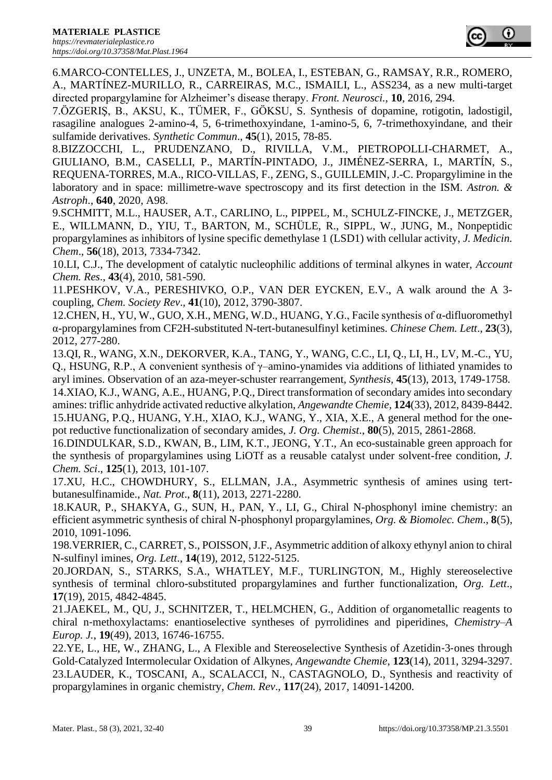6.MARCO-CONTELLES, J., UNZETA, M., BOLEA, I., ESTEBAN, G., RAMSAY, R.R., ROMERO, A., MARTÍNEZ-MURILLO, R., CARREIRAS, M.C., ISMAILI, L., ASS234, as a new multi-target directed propargylamine for Alzheimer's disease therapy. *Front. Neurosci.*, **10**, 2016, 294.

7.ÖZGERIŞ, B., AKSU, K., TÜMER, F., GÖKSU, S. Synthesis of dopamine, rotigotin, ladostigil, rasagiline analogues 2-amino-4, 5, 6-trimethoxyindane, 1-amino-5, 6, 7-trimethoxyindane, and their sulfamide derivatives. *Synthetic Commun*., **45**(1), 2015, 78-85.

8.BIZZOCCHI, L., PRUDENZANO, D., RIVILLA, V.M., PIETROPOLLI-CHARMET, A., GIULIANO, B.M., CASELLI, P., MARTÍN-PINTADO, J., JIMÉNEZ-SERRA, I., MARTÍN, S., REQUENA-TORRES, M.A., RICO-VILLAS, F., ZENG, S., GUILLEMIN, J.-C. Propargylimine in the laboratory and in space: millimetre-wave spectroscopy and its first detection in the ISM. *Astron. & Astroph*., **640**, 2020, A98.

9.SCHMITT, M.L., HAUSER, A.T., CARLINO, L., PIPPEL, M., SCHULZ-FINCKE, J., METZGER, E., WILLMANN, D., YIU, T., BARTON, M., SCHÜLE, R., SIPPL, W., JUNG, M., Nonpeptidic propargylamines as inhibitors of lysine specific demethylase 1 (LSD1) with cellular activity, *J. Medicin. Chem*., **56**(18), 2013, 7334-7342.

10.LI, C.J., The development of catalytic nucleophilic additions of terminal alkynes in water, *Account Chem. Res*., **43**(4), 2010, 581-590.

11.PESHKOV, V.A., PERESHIVKO, O.P., VAN DER EYCKEN, E.V., A walk around the A 3 coupling, *Chem. Society Rev*., **41**(10), 2012, 3790-3807.

12.CHEN, H., YU, W., GUO, X.H., MENG, W.D., HUANG, Y.G., Facile synthesis of α-difluoromethyl α-propargylamines from CF2H-substituted N-tert-butanesulfinyl ketimines. *Chinese Chem. Lett*., **23**(3), 2012, 277-280.

13.QI, R., WANG, X.N., DEKORVER, K.A., TANG, Y., WANG, C.C., LI, Q., LI, H., LV, M.-C., YU, Q., HSUNG, R.P., A convenient synthesis of  $\gamma$ –amino-ynamides via additions of lithiated ynamides to aryl imines. Observation of an aza-meyer-schuster rearrangement, *Synthesis,* **45**(13), 2013, 1749-1758. 14.XIAO, K.J., WANG, A.E., HUANG, P.Q., Direct transformation of secondary amides into secondary amines: triflic anhydride activated reductive alkylation, *Angewandte Chemie,* **124**(33), 2012, 8439-8442. 15.HUANG, P.Q., HUANG, Y.H., XIAO, K.J., WANG, Y., XIA, X.E., A general method for the onepot reductive functionalization of secondary amides, *J. Org. Chemist*., **80**(5), 2015, 2861-2868.

16.DINDULKAR, S.D., KWAN, B., LIM, K.T., JEONG, Y.T., An eco-sustainable green approach for the synthesis of propargylamines using LiOTf as a reusable catalyst under solvent-free condition, *J. Chem. Sci*., **125**(1), 2013, 101-107.

17.XU, H.C., CHOWDHURY, S., ELLMAN, J.A., Asymmetric synthesis of amines using tertbutanesulfinamide., *Nat. Prot*., **8**(11), 2013, 2271-2280.

18.KAUR, P., SHAKYA, G., SUN, H., PAN, Y., LI, G., Chiral N-phosphonyl imine chemistry: an efficient asymmetric synthesis of chiral N-phosphonyl propargylamines, *Org. & Biomolec. Chem*., **8**(5), 2010, 1091-1096.

198.VERRIER, C., CARRET, S., POISSON, J.F., Asymmetric addition of alkoxy ethynyl anion to chiral N-sulfinyl imines, *Org. Lett*., **14**(19), 2012, 5122-5125.

20.JORDAN, S., STARKS, S.A., WHATLEY, M.F., TURLINGTON, M., Highly stereoselective synthesis of terminal chloro-substituted propargylamines and further functionalization, *Org. Lett*., **17**(19), 2015, 4842-4845.

21.JAEKEL, M., QU, J., SCHNITZER, T., HELMCHEN, G., Addition of organometallic reagents to chiral n‐methoxylactams: enantioselective syntheses of pyrrolidines and piperidines, *Chemistry–A Europ. J.*, **19**(49), 2013, 16746-16755.

22.YE, L., HE, W., ZHANG, L., A Flexible and Stereoselective Synthesis of Azetidin‐3‐ones through Gold‐Catalyzed Intermolecular Oxidation of Alkynes, *Angewandte Chemie*, **123**(14), 2011, 3294-3297. 23.LAUDER, K., TOSCANI, A., SCALACCI, N., CASTAGNOLO, D., Synthesis and reactivity of propargylamines in organic chemistry, *Chem. Rev*., **117**(24), 2017, 14091-14200.